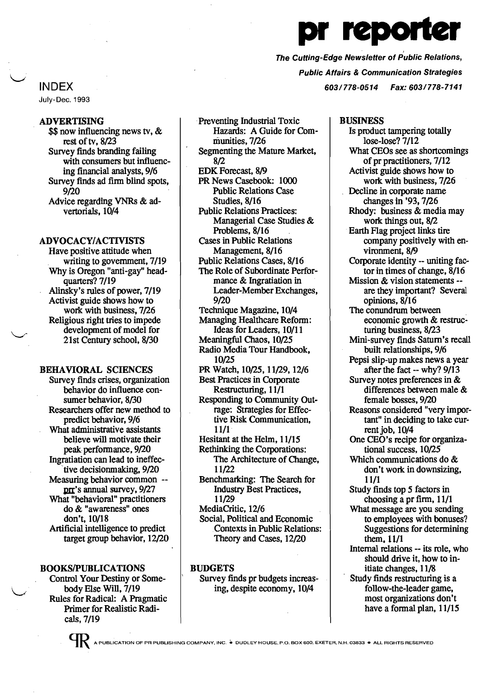# reporte

, The Cutting-Edge Newsletter of Public Relations, Public Affairs & Communication Strategies 603/778-0514 Fax: 603/778-7141

INDEX

July-Dec. 1993

# ADVERTISING

 $$$  now influencing news tv,  $\&$ rest of tv, 8/23 Survey finds branding failing with consumers but influencing financial analysts,9/6 Survey finds ad finn blind spots, 9/20 Advice regarding VNRs & advertorials, 10/4

#### ADVOCACY/ACTIVISTS

Have positive attitude when writing to government, 7/19 Why is Oregon "anti-gay" headquarters? 7/19 Alinsky's rules of power, 7/19 Activist guide shows how to work with business,  $7/26$ Religious right tries to impede development of model for 21st Century school, 8/30

#### BEHAVIORAL SCIENCES

Survey finds crises, organization behavior do influence consumer behavior, 8/30 Researchers offer new method to predict behavior,9/6 What administrative assistants believe will motivate their peak performance, 9/20 Ingratiation can lead to ineffective decisionmaking, 9/20 Measuring behavior common -prr's annual survey, 9/27 What "behavioral" practitioners do & "awareness" ones don't, 10/18 Artificial intelligence to predict target group behavior, 12/20

# BOOKS/PUBLICATIONS

Control Your Destiny or Somebody Else Will, 7/19 Rules for Radical: A Pragmatic Primer for Realistic Radicals,7/19

Preventing Industrial Toxic Hazards: A Guide for Communities,7/26 Segmenting the Mature Market, 8/2 EDK Forecast, 8/9 PR News Casebook: 1000 Public Relations Case Studies, 8/16 Public Relations Practices: Managerial Case Studies & Problems, 8/16 Cases in Public Relations Management, 8/16 Public Relations Cases, 8/16 The Role of Subordinate Performance & Ingratiation in Leader-Member Exchanges, 9/20 Technique Magazine, 10/4 Managing Healthcare Reform: Ideas for Leaders, 10/11 Meaningful Chaos, 10/25 Radio Media Tour Handbook, 10/25 PR Watch, 10/25, 11/29, 12/6 Best Practices in Corporate Restructuring, 11/1 Responding to Community Outrage: Strategies for Effective Risk Communication, 11/1· Hesitant at the Helm, 11/15 Rethinking the Corporations: The Architecture of Change, 11/22 Benchmarking: The Search for Industry Best Practices, 11/29 MediaCritic, 12/6 Social, Political and Economic .Contextsin Public Relations: Theory and Cases, 12/20

# BUDGETS

Survey finds pr budgets increasing, despite economy, 10/4

#### BUSINESS

Is product tampering totally lose-lose?7/12 What CEOs see as shortcomings of pr practitioners, 7/12 Activist guide shows how to work. with business, 7/26 Decline in corporate name changes in '93, 7/26 Rhody: business & media may work things out, 8/2 .Earth flag project links tire company positively with environment, 8/9 Corporate identity -- uniting factor in times of change, 8/16 Mission & vision statements -are they important? Several opinions, 8/16 The conundrum between economic growth & restructuring business, 8/23 Mini-survey finds Saturn's recall built relationships, 9/6 Pepsi slip-up makes news a year after the fact -- why? 9/13 Survey notes preferences in & differences between male & female bosses, 9/20 Reasons considered "veryimportant" in deciding to take current job, 10/4 One CEO's recipe for organizational success, 10/25 Which communications do & don't work. in downsizing, 11/1 Study finds top 5 factors in choosing a pr firm, 11/1 What message are you sending to employees with bonuses? Suggestions for determining them. 11/1 Internal relations -- its role, who should drive it, how to initiate changes, 11/8 Study finds restructuring is a follow-the-leader game, most organizations don't have a formal plan, 11/15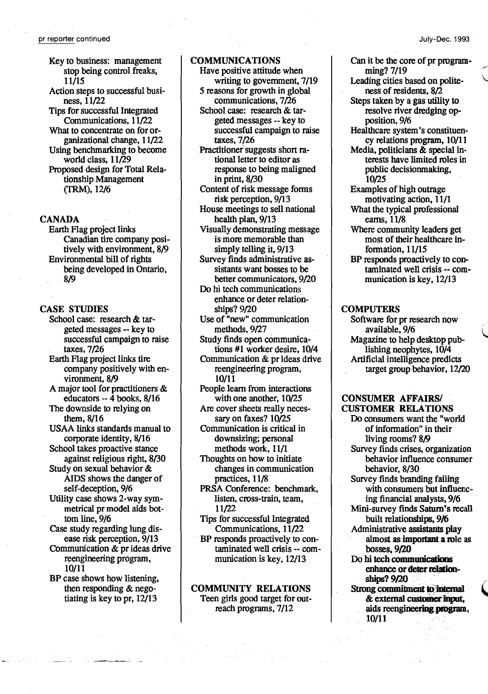Keyto business: management stop being control freaks, 11/15 Action steps to successful business, 11/22 Tips for successful Integrated Communications, 11/22 What to concentrate on for organizational change, 11/22 Using benchmarking to become world class, 11/29 Proposed design for Total Relationship Management (TRM),12/6

# CANADA

Earth Flag project links Canadian tire company positively with environment, 8/9 Environmental bill of rights being developed in Ontario, 8/9

# CASE STUDIES

School case: research & targeted messages -- key to successful campaign to raise taxes,7/26

Earth Flag project links tire company positively with environment, 8/9

A major tool for practitioners  $\&$ educators -- 4 books, 8/16

The downside to relying on them, 8/16

USAA links standards manual to corporate identity, 8/16

School takes proactive stance against religious right, 8/30

Study on sexual behavior  $&$ AIDS shows the danger of self-deception, 9/6

Utilitycase shows2-waysymmetrical pr model aids bottom line, 9/6

Case study regarding lung disease risk perception, 9/13

Communication & pr ideas drive reengineering program, 10/11

BP case shows how listening, then responding & negotiating is key to pr,  $12/13$ 

# COMMUNICATIONS

- Have positive attitude when writing to government, 7/19 5 reasons for growth in global
	- communications, 7/26
- School case: research & targetedmessages -- key to successful campaign to raise taxes,7/26
- Practitioner suggests short rational letter to editor as response to being maligned in print, 8/30
- Content of risk message forms risk perception, 9/13
- House meetings to sell national health plan, 9/13
- Visually demonstrating message is more memorable than simply telling it, 9/13
- Survey finds administrative assistants want bosses to be better communicators, 9/20
- Do hi tech communications enhance or deter relationships? 9/20
- Use of "new" communication methods, 9/27
- Study finds open communications #1 worker desire, 10/4 Communication & pr ideas drive reengineering program,
	- 10/11
- People learn from interactions with one another, 10/25
- Are cover sheets really necessary on faxes? 10/25
- Communication is critical in downsizing; personal methods work, 11/1
- Thoughts on how to initiate changes in communication practices, 11/8
- PRSA Conference: benchmark, listen, cross-train, team, 11/22
- Tips for successful Integrated Communications, 11/22
- BP responds proactively to contaminated well crisis -- communication is key, 12/13

# COMMUNITY RELATIONS Teen girls good target for outreach programs,  $7/12$

Canit be the core of pr program $min<sub>g</sub>$ ? 7/19

- Leading cities based on politenessof residents, 8/2
- Steps taken by a gas utility to resolve river dredging opposition, 9/6

Healthcare system's constituency relations program, 10/11

Media, politicians & special interests have limited roles in public decisionmaking, 10/25

- Examples of high outrage motivating action, 11/1 What the typical professional
- earns, 11/8
- Where community leaders get most of their healthcare information, 11/15
- BP responds proactively to contaminated well crisis -- communication is key, 12/13

# **COMPUTERS**

Software for pr research now<br>available, 9/6 Magazine to help desktop publishing neophytes,  $10/4$ Artificial intelligence predicts target group behavior,  $12/20$ 

# CONSUMER AFFAIRS/ CUSTOMER RELATIONS

Do consumers want the "world" of information" in their living rooms? 8/9 Survey finds crises, organization behavior influence consumer behavior, 8/30 Survey finds branding failing with consumers but influencing financial analysts, 9/6 Mini-survey finds Saturn's recall built relationships, 9/6 Administrative assistants play almost as important a role as bosses, 9/20 Do hi tech communications enhance or deter relation-<br>ships? 9/20 Strong commitment to internal bosses, 9/20<br>hi tech communications<br>enhance or deter relation-<br>ships? 9/20<br>mg commitment to internal<br>& external customer input, aids reengineering program,

10/11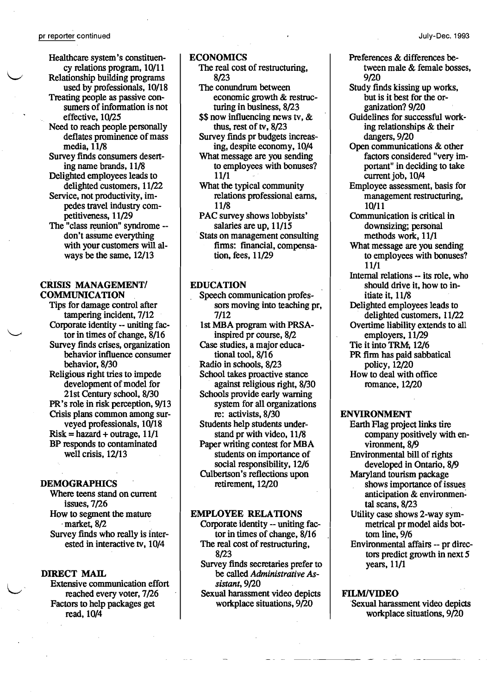- Healthcare system's constituency relations program, 10/11 Relationship building programs
- used by professionals, 10/18 Treating people as passive consumers of information is not effective, 10/25
- Need to reach people personally deflates prominence of mass media, 11/8
- Survey finds consumers deserting namebrands, 11/8
- Delighted employees leads to delighted customers, 11/22
- Service, not productivity, impedes travel industry competitiveness, 11/29
- The "class reunion" syndrome -don't assume everything with your customers will always be the same, 12/13

# CRISIS MANAGEMENT! COMMUNICATION

Tips for damage control after tampering incident, 7/12 Corporate identity -- uniting factor in times of change,  $8/16$ Survey finds crises, organization behavior influence consumer behavior, 8/30 Religious right tries to impede development of model for 21st Centuryschool, 8/30 PR's role in risk perception, 9/13 Crisis plans common among surveyed professionals, 10/18  $Risk = hazard + outrage, 11/1$ BP responds to contaminated well crisis, 12/13

#### **DEMOGRAPHICS**

Where teens stand on current issues,7/26 How to segment the mature market,  $8/2$ Survey finds who really is interested in interactive tv, 10/4

# DIRECT MAIL

Extensive communication effort reached every voter, 7/26 Factors to help packages get read, 10/4

# ECONOMICS

- The real cost of restructuring, 8/23
- The conundrum between economic growth& restructuring in business, 8/23
- \$\$ now influencing news tv, & thus, rest of tv,  $8/23$
- Survey finds pr budgets increasing, despite economy, 10/4
- What message are you sending to employees with bonuses? 11/1
- What the typical community relations professional earns, 11/8
- PAC survey shows lobbyists' salaries are up, 11/15
- Stats on management consulting firms: fmancial, compensation, fees, 11/29

# EDUCATION

Speech communication professors moving into teaching pr, 7/12 1st MBA program with PRSAinspired pr course, 8/2 Case studies, a major educational tool, 8/16 Radio in schools, 8/23 School takes proactive stance against religious right, 8/30 Schools provide early warning system for all organizations re: activists, 8/30 Students help students understand pr with video, 11/8 Paper writing contest for MBA students on importance of social responsibility, 12/6 Culbertson's reflections upon retirement, 12/20

# **EMPLOYEE RELATIONS**

- Corporate identity -- uniting factor in times of change, 8/16 The real cost of restructuring, 8/23
- Survey finds secretaries prefer to be called*Administrative Assistant,9/20*
- Sexual harassment video depicts workplace situations, 9/20

-- -- -- ----

# Preferences & differences between male & female bosses, 9/20

- Study finds kissing up works, but is it best for the organization? 9/20
- Guidelines for successful working relationships & their dangers, 9/20
- Open communications & other factors considered "very important" in deciding to take current job, 10/4
- Employee assessment, basis for management restructuring, 10/11
- Communication is critical in downsizing; personal methods work, 11/1
- What message are you sending to employees with bonuses? 11/1
- Internal relations -- its role, who should drive it, how to initiate it, 11/8
- Delighted employees leads to delighted customers, 11/22 Overtime liability extends to all employers, 11/29 Tie it into TRM, 12/6 PR finn has paid sabbatical
- policy, 12/20 Howto deal with office romance, 12/20

#### ENVIRONMENT

Earth Flag project links tire company positively with environment, 8/9 Environmental bill of rights developed in Ontario, 8/9 Maryland tourismpackage showsimportance of issues anticipation & environmental scans, 8/23 Utilitycase shows2-way symmetrical pr model aids bottom line, 9/6

Environmental affairs -- pr directors predict growth in next  $5$ years, 11/1

#### FILMIVIDEO

Sexual harassment video depicts workplace situations, 9/20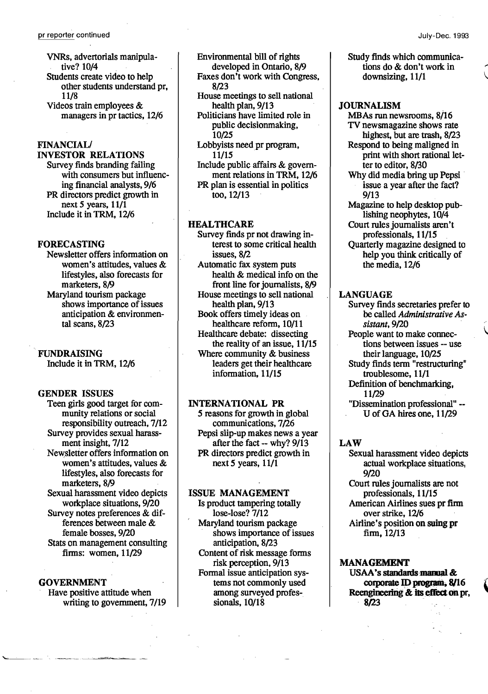- VNRs, advertorials manipulative? 10/4 Students create video to help other students understand pr. 11/8 Videos train employees &
- managers in pr tactics, 12/6

# FINANCIAL/

INVESTOR RELATIONS Survey finds branding failing with consumers but influencing financial analysts,9/6 PR directors predict growth in next 5 years, 11/1 Include it in TRM, 12/6

# FORECASTING

- Newsletter offers information on women's attitudes, values  $&$ lifestyles, also forecasts for marketers, 8/9 Maryland tourism package
- shows importance of issues anticipation& environmental scans, 8/23

# FUNDRAISING

Include it in TRM, 12/6

# GENDER ISSUES

Teen girls good target for community relations or social responsibility outreach,7/12 Survey provides sexual harassment insight, 7/12 Newsletter offers information on women's attitudes, values & lifestyles, also forecasts for marketers, 8/9 Sexual harassment video depicts workplace situations, 9/20 Survey notes preferences & differences between male & female bosses, 9/20 Stats on management consulting finns: women, 11/29

# **GOVERNMENT**

Have positive attitude when writing to government, 7/19 Environmental bill of rights developed in Ontario, 8/9 Faxes don't work with Congress,

- 8/23
- House meetings to sell national health plan, 9/13
- Politicians have limited role in public decisionmaking, 10/25
- Lobbyists need pr program, 11/15
- Include public affairs & government relations in TRM, 12/6 PR plan is essential in politics
- too, 12/13

# HEALTHCARE

- Survey finds pr not drawing interest to some critical health issues, 8/2
- Automatic fax system puts health & medical info on the front line for journalists, 8/9 House meetings to sell national
- health plan, 9/13 Book offers timely ideas on
- healthcare reform, 10/11 Healthcare debate: dissecting the reality of an issue, 11/15 Where community & business leaders get their healthcare information, 11/15

# INTERNATIONAL PR

5 reasons for growth in global communications, 7/26 Pepsi slip-up makes news a year after the fact -- why? 9/13 PR directors predict growth in next 5 years, 11/1

#### ISSUE MANAGEMENT

- Is product tampering totally lose-lose?  $7/12$ Maryland tourism package shows importance of issues anticipation, 8/23 Content of risk message forms
- risk perception, 9/13 Formal issue anticipation systems not commonly used among surveyed professionals, 10/18

Study finds which communica tions do & don't work in downsizing, 11/1

# JOURNALISM

- MBAs run newsrooms, 8/16 TV newsmagazine shows rate highest, but are trash, 8/23
- Respond to being maligned in print with short rational letter to editor, 8/30
- Why did media bring up Pepsi issue a year after the fact? 9/13
- Magazine to help desktop publishing neophytes, 10/4 Court rules journalists aren't professionals, 11/15
- Quarterly magazine designed to help you think critically of the media, 12/6

# LANGUAGE

- Survey finds secretaries prefer to be called *Administrative Assistam, 9/20*
- People want to make connections between issues -- use their language, 10/25
- Study finds term "restructuring" troublesome, 11/1
- Definition of benchmarking, 11/29
- "Dissemination professional" U of GA hires one, 11/29

# LAW

- Sexual harassment video depicts actual workplace situations, 9/20
- Court rules journalists are not professionals, 11/15 AmericanAirlines sues pr firm over strike, 12/6 Airline's position on suing pr

finn, 12/13

#### MANAGEMENT

USAA's standards manual &<br>corporate ID program, 8/16 Reengineering & its effect on pr, . 8/23

\<br>|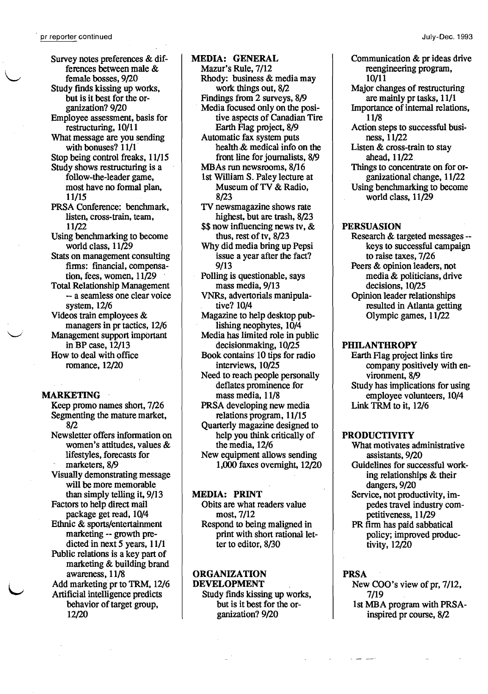Survey notes preferences & differences between male & female bosses, 9/20 Study finds kissing up works, but is it best for the organization? 9/20 Employee assessment, basis for restructuring, 10/11 What message are you sending with bonuses? 11/1 Stop being control freaks, 11/15 Study shows restructuring is a follow-the-leader game, most have no formal plan, 11/15 PRSA Conference: benchmark, listen, cross-train, team, 11/22 Using benchmarking to become world class,  $11/29$ Stats on management consulting firms: financial, compensation, fees, women, 11/29 Total Relationship Management -- a seamless one clear voice system, 12/6 Videos train employees& managers in pr tactics, 12/6 Management support important in BP case, 12/13 How to deal with office romance, 12/20

# MARKETING

 $\smile$  .

Keep promo names short, 7/26 Segmenting the mature market, 8/2 Newsletter offers information on women's attitudes, values & lifestyles, forecasts for marketers, 8/9 Visually demonstrating message will be more memorable than simply telling it, 9/13 Factors to help direct mail package get read, 10/4 Ethnic & sports/entertainment marketing-- growth predicted in next 5 years,  $11/1$ Public relations is a key part of marketing& building brand awareness, 11/8 Add marketing pr to TRM, 12/6 Artificial intelligence predicts behavior of target group, 12/20

MEDIA: GENERAL Mazur's Rule, 7/12 Rhody: business & media may work things out, 8/2 Findings from 2 surveys, 8/9 Media focused only on the positive aspects of Canadian Tire Earth Flag project, 8/9 Automatic fax system puts health, & medical info on the front line for journalists, 8/9 MBAs run newsrooms, 8/16 Ist WilliamS. Paley lecture at Museum of TV & Radio, 8/23 TV newsmagazine shows rate highest, but are trash, 8/23  $$$  s\$ now influencing news tv,  $\&$ thus, rest of tv, 8/23 Why did media bring up Pepsi issue a year after the fact? 9/13 Polling is questionable, says mass media, 9/13 VNRs, advertorials manipulative? 10/4 Magazine to help desktop publishing neophytes, 10/4 Media has limited role in public decisionmaking, 10/25 Book contains 10 tips for radio interviews, 10/25

Need to reach people personally deflates prominence for mass media, 11/8

PRSA developing new media relations program, 11/15 Quarterly magazine designed to help you think critically of the media, 12/6

New equipment allows sending 1,000 faxes overnight, 12/20

# MEDIA: PRINT

Obits are what readers value most, 7/12 Respond to being maligned in print with short rational letter to editor, 8/30

#### ORGANIZATION DEVELOPMENT

Study finds kissing up works, but is it best for the organization? 9/20

Communication & pr ideas drive reengineering program, 10/11 Major changes of restructuring are mainly pr tasks, 11/1 Importance of internal relations, 11/8 Action steps to successful business, 11/22 Listen & cross-train to stay ahead, 11/22 Things to concentrate on for organizational change, 11/22 Using benchmarking to become world class, 11/29

# PERSUASION

Research & targeted messages keys to successful campaign to raise taxes, 7/26 Peers & opinion leaders, not media & politicians, drive decisions, 10/25 Opinion leader relationships resulted in Atlanta getting Olympic games, 11/22

# PHILANTHROPY

Earth Flag project links tire company positively with environment, 8/9 Study has implications for using employee volunteers, 10/4 Link TRM to it, 12/6

#### PRODUCTIVITY

What motivates administrative assistants, 9/20 Guidelines for successful working relationships & their

dangers, 9/20 Service, not productivity, im-

pedes travel industrycompetitiveness, 11/29

PR firm has paid sabbatical policy; improved productivity, 12/20

#### PRSA

New COO's view of pr, 7/12, 7/19 1stMBA program with PRSAinspired pr course, 8/2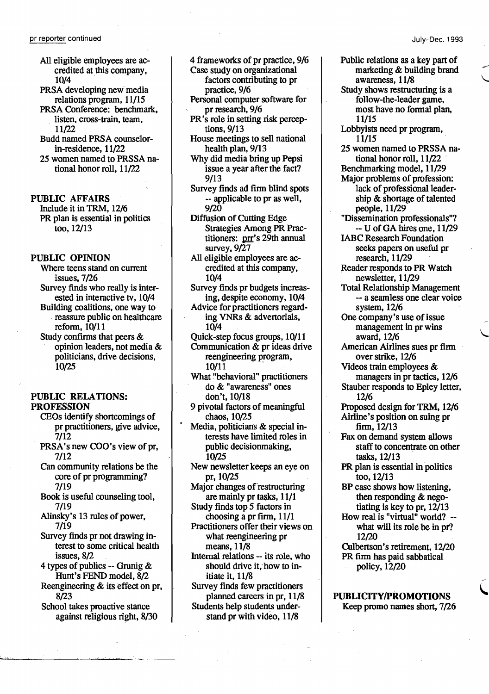- All eligible employees are accredited at this company, 10/4
- PRSA developing new media relations program, 11/15
- PRSA Conference: benchmark, listen, cross-train, team, 11/22
- Budd named PRSA counselorin-residence, 11/22
- 25 women named to PRSSA national honor roll,  $11/22$

# PUBLIC AFFAIRS

Include it in TRM, 12/6 PR plan is essential in politics too, 12/13

#### PUBLIC OPINION

Where teens stand on current issues, 7/26 Survey finds who really is interested in interactive tv, 10/4 Building coalitions; one way to reassure public on healthcare reform, 10/11

Study confirms that peers  $&$ opinion leaders, not media & politicians, drive decisions, 10/25

# PUBLIC RELATIONS: PROFESSION

- CEOs identify shortcomings of pr practitioners, give advice, 7/12
- PRSA's new COO's view of pr, 7/12
- Can community relations be the core of pr programming? 7/19
- Book is useful counseling tool, 7/19
- Alinsky's 13 rules of power, 7/19
- Survey finds pr not drawing interest to some critical health issues, 8/2
- 4 types of publics -- Grunig  $&$ Hunt's FEND model, 8/2
- Reengineering  $&$  its effect on pr, 8/23
- School takes proactive stance against religious right, 8/30
- 4 frameworks of pr practice, 9/6 Case study on organizational factors contributing to pr practice, 9/6
- Personal computer software for pr research, 9/6
- PR's role in setting risk perceptions, 9/13
- House meetings to sell national health plan, 9/13
- Why did media bring up Pepsi issue a year after the fact? 9/13
- Survey finds ad finn blind spots -- applicable to pr as well, 9/20
- Diffusion of Cutting Edge Strategies Among PR Practitioners: prr's 29th annual survey, 9/27
- All eligible employees are accredited at this company, 10/4
- Survey finds pr budgets increasing, despite economy, 10/4
- Advice for practitioners regarding VNRs& advertorials, 10/4
- Quick-step focus groups, 10/11

Communication  $&\&$  pr ideas drive reengineering program, 10/11

- What "behavioral" practitioners do & "awareness" ones don't, 10/18
- 9 pivotal factors of meaningful . chaos, 10/25
- Media, politicians & special interests have limited roles in public decision making, 10/25

New newsletter keeps an eye on pr,1O/25

Major changes of restructuring are mainly pr tasks, 11/1

- Study finds top 5 factors in choosing a pr firm, 11/1
- Practitioners offer their views on what reengineering pr means, 11/8
- Internal relations -- its role,who should drive it, how to initiate it, 11/8
- Survey finds few practitioners planned careers in pr, 11/8 Students help students understand pr with video, 11/8
- Public relations as a key part of marketing & building brand<br>awareness, 11/8
- Study shows restructuring is a follow-the-leader game, most have no formal plan, 11/15
- Lobbyists need pr program, 11/15
- 25 women named to PRSSA national honor roll,  $11/22$ Benchmarking model, 11/29
- Major problems of profession: lack of professional leadership & shortage of talented people, 11/29
- "Dissemination professionals"? -- U of GA hires one, 11/29
- IABC Research Foundation seeks papers on useful pr research, 11/29
- Reader responds to PR Watch newsletter, 11/29
- Total Relationship Management -- a seamless one clear voice system, 12/6
- One company's use of issue management in pr wins award, 12/6
- American Airlines sues pr firm over strike, 12/6
- Videos train employees & managers in pr tactics, 12/6
- Stauber responds to Epley letter, 12/6
- Proposed design for TRM, 12/6 Airline's position on suing pr finn, 12/13
- Fax on demand system allows staff to concentrate on other tasks, 12/13
- PR plan is essential in politics too, 12/13
- BP case shows how listening, then responding & negotiating is key to pr,  $12/13$
- How real is "virtual" world? what will its role be in pr? 12/20
- Culbertson's retirement, 12/20 PR firm has paid sabbatical policy,12/20

/

PUBLICITY/PROMOTIONS Keep promo names short, 7/26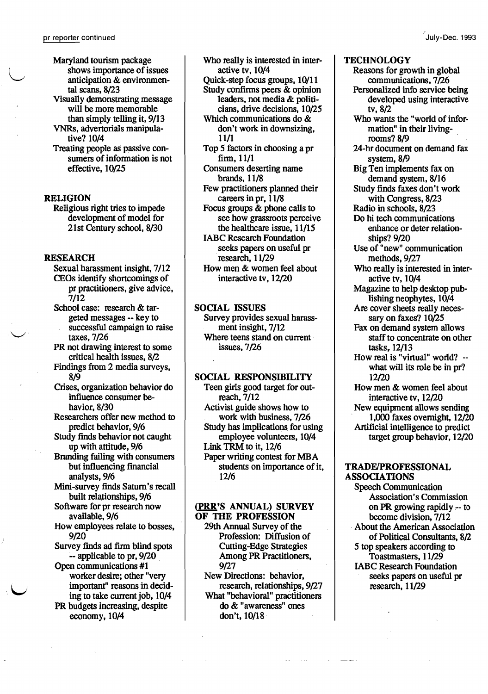I

Maryland tourism package shows importance of issues<br>anticipation & environmental scans, 8/23 Visually demonstrating message will be more memorable than simply telling it,  $9/13$ VNRs, advertorials manipulative? 10/4 Treating people as passive consumers of information is not effective, 10/25

# **RELIGION**

Religious right tries to impede development of model for 21st Centuryschool, 8/30

## **RESEARCH**

- Sexual harassment insight, 7/12 CEOs identify shortcomings of pr practitioners, give advice,  $7/12$
- School case: research & targeted messages-- key to successful campaign to raise<br>taxes, 7/26
- PR not drawing interest to some critical health issues, 8/2
- Findings from 2 media surveys, 8/9
- Crises, organization behavior do influence consumer behavior, 8/30
- Researchers offer new method to predict behavior, 9/6
- Study finds behavior not caught up with attitude, 9/6
- Branding failing with consumers but influencing financial analysts,9/6
- Mini-survey finds Saturn's recall built relationships, 9/6
- Software for pr research now available, 9/6
- How employees relate to bosses, 9/20
- Survey finds ad firm blind spots -- applicable to pr, 9/20
- Open communications #1 worker desire; other "very<br>important" reasons in deciding to take current job, 10/4 PR budgets increasing, despite

economy, 10/4

Who really is interested in interactive tv, 10/4

- Quick-step focus groups, 10/11 Study confirms peers  $\&$  opinion leaders, not media & politi-
- cians, drive decisions, 10/25 Which communications do & don't work in downsizing, 11/1
- Top 5 factors in choosing a pr finn, 11/1
- Consumers deserting name brands, 11/8
- Few practitioners planned their careers in pr.  $11/8$
- Focus groups & phone calls to see how grassroots perceive the healthcare issue, 11/15
- **IABC Research Foundation** seeks papers on useful pr research, 11/29
- How men & women feel about interactive tv, 12/20

# SOCIAL ISSUES

Survey provides sexual harassment insight,  $7/12$ Where teens stand on current issues,7/26

# SOCIAL RESPONSIBILITY

Teen girls good target for outreach, 7/12 Activist guide shows how to work with business, 7/26 Study has implications for using employee volunteers, 10/4 Link TRM to it, 12/6 Paper writing contest for MBA students on importance of it, 12/6

#### (PRR'S ANNUAL) SURVEY OF THE PROFESSION

29th Annual Survey of the Profession: Diffusion of Cutting-Edge Strategies Among PR Practitioners, 9/27

New Directions: behavior, research, relationships, 9/27 What "behavioral" practitioners do & "awareness" ones don't, 10/18

# **TECHNOLOGY**

Reasons for growth in global communications, 7/26 Personalized info service being developed using interactive tv, 8/2 Who wants the "world of information" in their livingrooms? 8/9 24-hr document on demand fax system, 8/9 Big Ten implements fax on demand system, 8/16 Study finds faxes don't work with Congress, 8/23 Radio in schools, 8/23 Do hi tech communications enhance or deter relationships? 9/20 Use of "new" communication methods, 9/27 Who really is interested in interactive tv, 10/4 Magazine to help desktop publishing neophytes, 10/4 Are cover sheets really necessary on faxes? 10/25 Fax on demand system allows staff to concentrate on other tasks, 12/13 How real is "virtual" world? -what will its role be in pr? 12/20 How men & women feel about interactive tv,  $12/20$ New equipment allows sending 1,000faxes overnight, 12/20 Artificial intelligence to predict target group behavior, 12/20

# TRADE/PROFESSIONAL ASSOCIATIONS

Speech Communication Association's Commission on PR growing rapidly  $-$  to become division,  $7/12$ About the American Association of Political Consultants, *8{l*  5 top speakers according to Toastmasters, 11/29 IABC Research Foundation seeks papers on useful pr research, 11/29